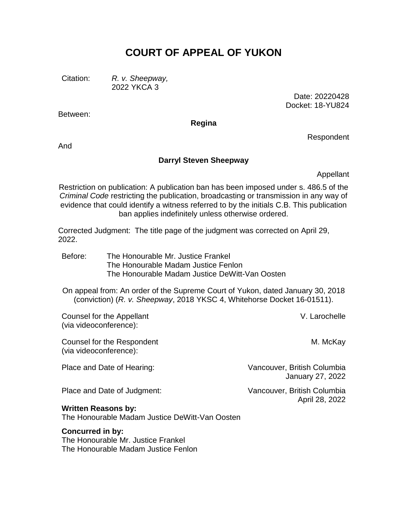# **COURT OF APPEAL OF YUKON**

Citation: *R. v. Sheepway,* 2022 YKCA 3

> Date: 20220428 Docket: 18-YU824

**Regina**

And

Between:

#### **Darryl Steven Sheepway**

Appellant

Respondent

Restriction on publication: A publication ban has been imposed under s. 486.5 of the *Criminal Code* restricting the publication, broadcasting or transmission in any way of evidence that could identify a witness referred to by the initials C.B. This publication ban applies indefinitely unless otherwise ordered.

Corrected Judgment: The title page of the judgment was corrected on April 29, 2022.

Before: The Honourable Mr. Justice Frankel The Honourable Madam Justice Fenlon The Honourable Madam Justice DeWitt-Van Oosten

On appeal from: An order of the Supreme Court of Yukon, dated January 30, 2018 (conviction) (*R. v. Sheepway*, 2018 YKSC 4, Whitehorse Docket 16-01511).

Counsel for the Appellant (via videoconference):

Counsel for the Respondent (via videoconference):

Place and Date of Hearing: Vancouver, British Columbia January 27, 2022

Place and Date of Judgment: Vancouver, British Columbia

#### **Written Reasons by:**

The Honourable Madam Justice DeWitt-Van Oosten

#### **Concurred in by:**

The Honourable Mr. Justice Frankel The Honourable Madam Justice Fenlon V. Larochelle

M. McKay

April 28, 2022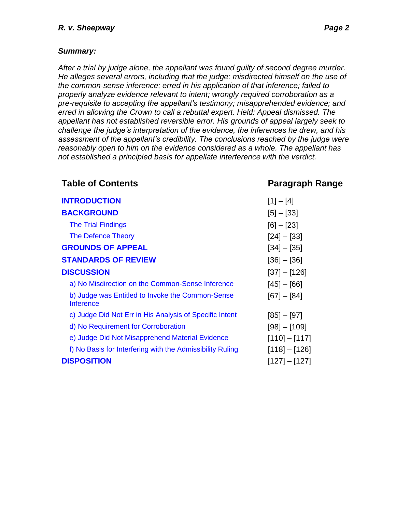#### *Summary:*

*After a trial by judge alone, the appellant was found guilty of second degree murder. He alleges several errors, including that the judge: misdirected himself on the use of the common-sense inference; erred in his application of that inference; failed to properly analyze evidence relevant to intent; wrongly required corroboration as a pre-requisite to accepting the appellant's testimony; misapprehended evidence; and erred in allowing the Crown to call a rebuttal expert. Held: Appeal dismissed. The appellant has not established reversible error. His grounds of appeal largely seek to challenge the judge's interpretation of the evidence, the inferences he drew, and his assessment of the appellant's credibility. The conclusions reached by the judge were reasonably open to him on the evidence considered as a whole. The appellant has not established a principled basis for appellate interference with the verdict.*

**Table of Contents Paragraph Range [INTRODUCTION](#page-2-0)** [1] – [4] **[BACKGROUND](#page-2-1)** [5] – [33] [The Trial Findings](#page-2-2) [6] – [23] [The Defence Theory](#page-5-0) [24] – [33] **[GROUNDS OF APPEAL](#page-7-0)** [34] – [35] **[STANDARDS OF REVIEW](#page-8-0)** [36] – [36] **[DISCUSSION](#page-8-1)** [37] – [126] [a\) No Misdirection on the Common-Sense Inference](#page-10-0) [45] – [66] [b\) Judge was Entitled to Invoke the Common-Sense](#page-15-0)  **[Inference](#page-15-0)**  $[67] - [84]$ [c\) Judge Did Not Err in His Analysis of Specific Intent](#page-21-0) [85] – [97] [d\) No Requirement for Corroboration](#page-25-0) [98] – [109] [e\) Judge Did Not Misapprehend Material Evidence](#page-27-0) [110] – [117] [f\) No Basis for Interfering with the Admissibility Ruling](#page-30-0) [118] – [126] **[DISPOSITION](#page-33-0)** [127] – [127]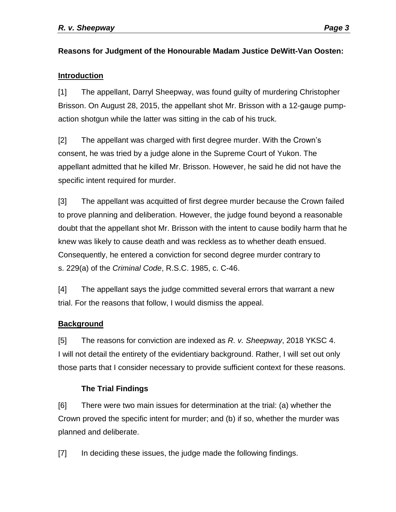# **Reasons for Judgment of the Honourable Madam Justice DeWitt-Van Oosten:**

## <span id="page-2-0"></span>**Introduction**

[1] The appellant, Darryl Sheepway, was found guilty of murdering Christopher Brisson. On August 28, 2015, the appellant shot Mr. Brisson with a 12-gauge pumpaction shotgun while the latter was sitting in the cab of his truck.

[2] The appellant was charged with first degree murder. With the Crown's consent, he was tried by a judge alone in the Supreme Court of Yukon. The appellant admitted that he killed Mr. Brisson. However, he said he did not have the specific intent required for murder.

[3] The appellant was acquitted of first degree murder because the Crown failed to prove planning and deliberation. However, the judge found beyond a reasonable doubt that the appellant shot Mr. Brisson with the intent to cause bodily harm that he knew was likely to cause death and was reckless as to whether death ensued. Consequently, he entered a conviction for second degree murder contrary to s. 229(a) of the *Criminal Code*, R.S.C. 1985, c. C-46.

[4] The appellant says the judge committed several errors that warrant a new trial. For the reasons that follow, I would dismiss the appeal.

### <span id="page-2-1"></span>**Background**

[5] The reasons for conviction are indexed as *R. v. Sheepway*, 2018 YKSC 4. I will not detail the entirety of the evidentiary background. Rather, I will set out only those parts that I consider necessary to provide sufficient context for these reasons.

# **The Trial Findings**

<span id="page-2-2"></span>[6] There were two main issues for determination at the trial: (a) whether the Crown proved the specific intent for murder; and (b) if so, whether the murder was planned and deliberate.

[7] In deciding these issues, the judge made the following findings.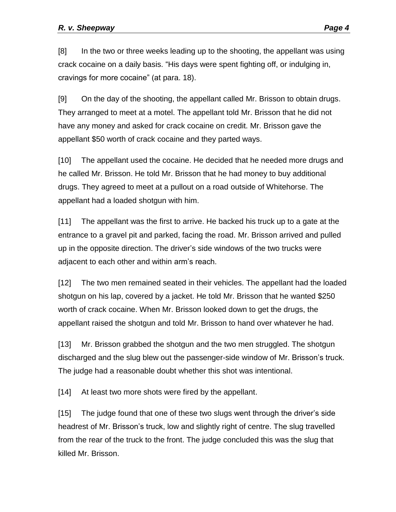[8] In the two or three weeks leading up to the shooting, the appellant was using crack cocaine on a daily basis. "His days were spent fighting off, or indulging in, cravings for more cocaine" (at para. 18).

[9] On the day of the shooting, the appellant called Mr. Brisson to obtain drugs. They arranged to meet at a motel. The appellant told Mr. Brisson that he did not have any money and asked for crack cocaine on credit. Mr. Brisson gave the appellant \$50 worth of crack cocaine and they parted ways.

[10] The appellant used the cocaine. He decided that he needed more drugs and he called Mr. Brisson. He told Mr. Brisson that he had money to buy additional drugs. They agreed to meet at a pullout on a road outside of Whitehorse. The appellant had a loaded shotgun with him.

[11] The appellant was the first to arrive. He backed his truck up to a gate at the entrance to a gravel pit and parked, facing the road. Mr. Brisson arrived and pulled up in the opposite direction. The driver's side windows of the two trucks were adjacent to each other and within arm's reach.

[12] The two men remained seated in their vehicles. The appellant had the loaded shotgun on his lap, covered by a jacket. He told Mr. Brisson that he wanted \$250 worth of crack cocaine. When Mr. Brisson looked down to get the drugs, the appellant raised the shotgun and told Mr. Brisson to hand over whatever he had.

[13] Mr. Brisson grabbed the shotgun and the two men struggled. The shotgun discharged and the slug blew out the passenger-side window of Mr. Brisson's truck. The judge had a reasonable doubt whether this shot was intentional.

[14] At least two more shots were fired by the appellant.

[15] The judge found that one of these two slugs went through the driver's side headrest of Mr. Brisson's truck, low and slightly right of centre. The slug travelled from the rear of the truck to the front. The judge concluded this was the slug that killed Mr. Brisson.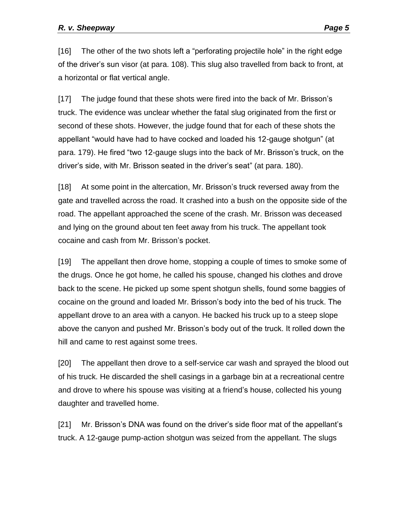[16] The other of the two shots left a "perforating projectile hole" in the right edge of the driver's sun visor (at para. 108). This slug also travelled from back to front, at a horizontal or flat vertical angle.

[17] The judge found that these shots were fired into the back of Mr. Brisson's truck. The evidence was unclear whether the fatal slug originated from the first or second of these shots. However, the judge found that for each of these shots the appellant "would have had to have cocked and loaded his 12-gauge shotgun" (at para. 179). He fired "two 12-gauge slugs into the back of Mr. Brisson's truck, on the driver's side, with Mr. Brisson seated in the driver's seat" (at para. 180).

[18] At some point in the altercation, Mr. Brisson's truck reversed away from the gate and travelled across the road. It crashed into a bush on the opposite side of the road. The appellant approached the scene of the crash. Mr. Brisson was deceased and lying on the ground about ten feet away from his truck. The appellant took cocaine and cash from Mr. Brisson's pocket.

[19] The appellant then drove home, stopping a couple of times to smoke some of the drugs. Once he got home, he called his spouse, changed his clothes and drove back to the scene. He picked up some spent shotgun shells, found some baggies of cocaine on the ground and loaded Mr. Brisson's body into the bed of his truck. The appellant drove to an area with a canyon. He backed his truck up to a steep slope above the canyon and pushed Mr. Brisson's body out of the truck. It rolled down the hill and came to rest against some trees.

[20] The appellant then drove to a self-service car wash and sprayed the blood out of his truck. He discarded the shell casings in a garbage bin at a recreational centre and drove to where his spouse was visiting at a friend's house, collected his young daughter and travelled home.

[21] Mr. Brisson's DNA was found on the driver's side floor mat of the appellant's truck. A 12-gauge pump-action shotgun was seized from the appellant. The slugs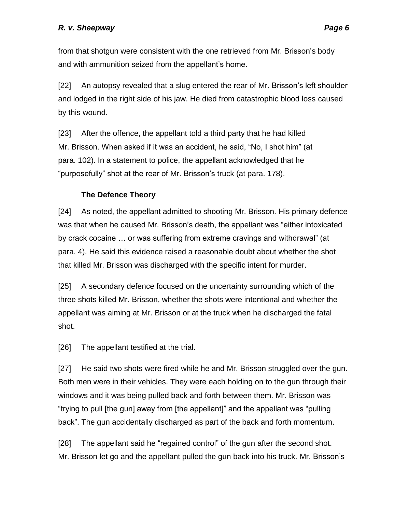from that shotgun were consistent with the one retrieved from Mr. Brisson's body and with ammunition seized from the appellant's home.

[22] An autopsy revealed that a slug entered the rear of Mr. Brisson's left shoulder and lodged in the right side of his jaw. He died from catastrophic blood loss caused by this wound.

[23] After the offence, the appellant told a third party that he had killed Mr. Brisson. When asked if it was an accident, he said, "No, I shot him" (at para. 102). In a statement to police, the appellant acknowledged that he "purposefully" shot at the rear of Mr. Brisson's truck (at para. 178).

# **The Defence Theory**

<span id="page-5-0"></span>[24] As noted, the appellant admitted to shooting Mr. Brisson. His primary defence was that when he caused Mr. Brisson's death, the appellant was "either intoxicated by crack cocaine … or was suffering from extreme cravings and withdrawal" (at para. 4). He said this evidence raised a reasonable doubt about whether the shot that killed Mr. Brisson was discharged with the specific intent for murder.

[25] A secondary defence focused on the uncertainty surrounding which of the three shots killed Mr. Brisson, whether the shots were intentional and whether the appellant was aiming at Mr. Brisson or at the truck when he discharged the fatal shot.

[26] The appellant testified at the trial.

[27] He said two shots were fired while he and Mr. Brisson struggled over the gun. Both men were in their vehicles. They were each holding on to the gun through their windows and it was being pulled back and forth between them. Mr. Brisson was "trying to pull [the gun] away from [the appellant]" and the appellant was "pulling back". The gun accidentally discharged as part of the back and forth momentum.

[28] The appellant said he "regained control" of the gun after the second shot. Mr. Brisson let go and the appellant pulled the gun back into his truck. Mr. Brisson's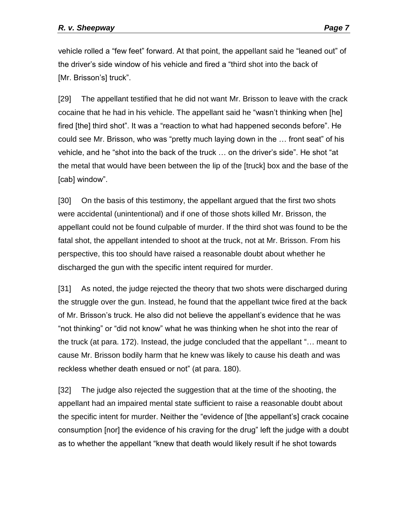vehicle rolled a "few feet" forward. At that point, the appellant said he "leaned out" of the driver's side window of his vehicle and fired a "third shot into the back of [Mr. Brisson's] truck".

[29] The appellant testified that he did not want Mr. Brisson to leave with the crack cocaine that he had in his vehicle. The appellant said he "wasn't thinking when [he] fired [the] third shot". It was a "reaction to what had happened seconds before". He could see Mr. Brisson, who was "pretty much laying down in the … front seat" of his vehicle, and he "shot into the back of the truck … on the driver's side". He shot "at the metal that would have been between the lip of the [truck] box and the base of the [cab] window".

[30] On the basis of this testimony, the appellant argued that the first two shots were accidental (unintentional) and if one of those shots killed Mr. Brisson, the appellant could not be found culpable of murder. If the third shot was found to be the fatal shot, the appellant intended to shoot at the truck, not at Mr. Brisson. From his perspective, this too should have raised a reasonable doubt about whether he discharged the gun with the specific intent required for murder.

[31] As noted, the judge rejected the theory that two shots were discharged during the struggle over the gun. Instead, he found that the appellant twice fired at the back of Mr. Brisson's truck. He also did not believe the appellant's evidence that he was "not thinking" or "did not know" what he was thinking when he shot into the rear of the truck (at para. 172). Instead, the judge concluded that the appellant "… meant to cause Mr. Brisson bodily harm that he knew was likely to cause his death and was reckless whether death ensued or not" (at para. 180).

[32] The judge also rejected the suggestion that at the time of the shooting, the appellant had an impaired mental state sufficient to raise a reasonable doubt about the specific intent for murder. Neither the "evidence of [the appellant's] crack cocaine consumption [nor] the evidence of his craving for the drug" left the judge with a doubt as to whether the appellant "knew that death would likely result if he shot towards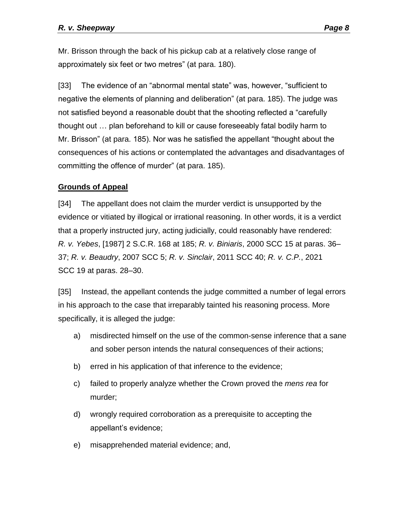Mr. Brisson through the back of his pickup cab at a relatively close range of approximately six feet or two metres" (at para. 180).

[33] The evidence of an "abnormal mental state" was, however, "sufficient to negative the elements of planning and deliberation" (at para. 185). The judge was not satisfied beyond a reasonable doubt that the shooting reflected a "carefully thought out … plan beforehand to kill or cause foreseeably fatal bodily harm to Mr. Brisson" (at para. 185). Nor was he satisfied the appellant "thought about the consequences of his actions or contemplated the advantages and disadvantages of committing the offence of murder" (at para. 185).

### <span id="page-7-0"></span>**Grounds of Appeal**

[34] The appellant does not claim the murder verdict is unsupported by the evidence or vitiated by illogical or irrational reasoning. In other words, it is a verdict that a properly instructed jury, acting judicially, could reasonably have rendered: *R. v. Yebes*, [1987] 2 S.C.R. 168 at 185; *R. v. Biniaris*, 2000 SCC 15 at paras. 36– 37; *R. v. Beaudry*, 2007 SCC 5; *R. v. Sinclair*, 2011 SCC 40; *R. v. C.P.*, 2021 SCC 19 at paras. 28–30.

[35] Instead, the appellant contends the judge committed a number of legal errors in his approach to the case that irreparably tainted his reasoning process. More specifically, it is alleged the judge:

- a) misdirected himself on the use of the common-sense inference that a sane and sober person intends the natural consequences of their actions;
- b) erred in his application of that inference to the evidence;
- c) failed to properly analyze whether the Crown proved the *mens rea* for murder;
- d) wrongly required corroboration as a prerequisite to accepting the appellant's evidence;
- e) misapprehended material evidence; and,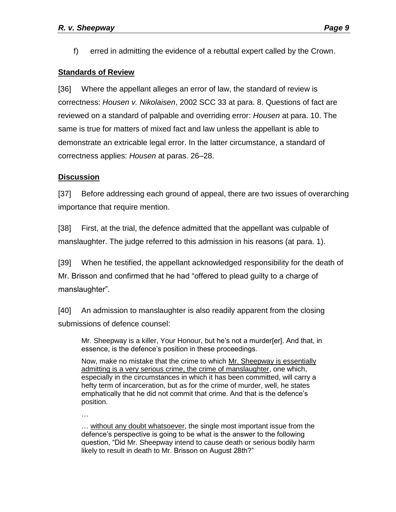f) erred in admitting the evidence of a rebuttal expert called by the Crown.

### <span id="page-8-0"></span>**Standards of Review**

[36] Where the appellant alleges an error of law, the standard of review is correctness: *Housen v. Nikolaisen*, 2002 SCC 33 at para. 8. Questions of fact are reviewed on a standard of palpable and overriding error: *Housen* at para. 10. The same is true for matters of mixed fact and law unless the appellant is able to demonstrate an extricable legal error. In the latter circumstance, a standard of correctness applies: *Housen* at paras. 26–28.

# <span id="page-8-1"></span>**Discussion**

[37] Before addressing each ground of appeal, there are two issues of overarching importance that require mention.

[38] First, at the trial, the defence admitted that the appellant was culpable of manslaughter. The judge referred to this admission in his reasons (at para. 1).

[39] When he testified, the appellant acknowledged responsibility for the death of Mr. Brisson and confirmed that he had "offered to plead guilty to a charge of manslaughter".

[40] An admission to manslaughter is also readily apparent from the closing submissions of defence counsel:

Mr. Sheepway is a killer, Your Honour, but he's not a murder[er]. And that, in essence, is the defence's position in these proceedings.

Now, make no mistake that the crime to which Mr. Sheepway is essentially admitting is a very serious crime, the crime of manslaughter, one which, especially in the circumstances in which it has been committed, will carry a hefty term of incarceration, but as for the crime of murder, well, he states emphatically that he did not commit that crime. And that is the defence's position.

…

… without any doubt whatsoever, the single most important issue from the defence's perspective is going to be what is the answer to the following question, "Did Mr. Sheepway intend to cause death or serious bodily harm likely to result in death to Mr. Brisson on August 28th?"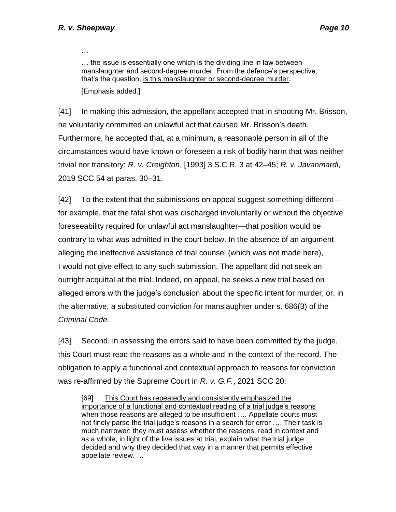…

… the issue is essentially one which is the dividing line in law between manslaughter and second-degree murder. From the defence's perspective, that's the question, is this manslaughter or second-degree murder. [Emphasis added.]

[41] In making this admission, the appellant accepted that in shooting Mr. Brisson, he voluntarily committed an unlawful act that caused Mr. Brisson's death. Furthermore, he accepted that, at a minimum, a reasonable person in all of the circumstances would have known or foreseen a risk of bodily harm that was neither trivial nor transitory: *R. v. Creighton*, [1993] 3 S.C.R. 3 at 42–45; *R. v. Javanmardi*, 2019 SCC 54 at paras. 30–31.

[42] To the extent that the submissions on appeal suggest something different for example, that the fatal shot was discharged involuntarily or without the objective foreseeability required for unlawful act manslaughter—that position would be contrary to what was admitted in the court below. In the absence of an argument alleging the ineffective assistance of trial counsel (which was not made here), I would not give effect to any such submission. The appellant did not seek an outright acquittal at the trial. Indeed, on appeal, he seeks a new trial based on alleged errors with the judge's conclusion about the specific intent for murder, or, in the alternative, a substituted conviction for manslaughter under s. 686(3) of the *Criminal Code.*

[43] Second, in assessing the errors said to have been committed by the judge, this Court must read the reasons as a whole and in the context of the record. The obligation to apply a functional and contextual approach to reasons for conviction was re-affirmed by the Supreme Court in *R. v. G.F.*, 2021 SCC 20:

[69] This Court has repeatedly and consistently emphasized the importance of a functional and contextual reading of a trial judge's reasons when those reasons are alleged to be insufficient .... Appellate courts must not finely parse the trial judge's reasons in a search for error …. Their task is much narrower: they must assess whether the reasons, read in context and as a whole, in light of the live issues at trial, explain what the trial judge decided and why they decided that way in a manner that permits effective appellate review. …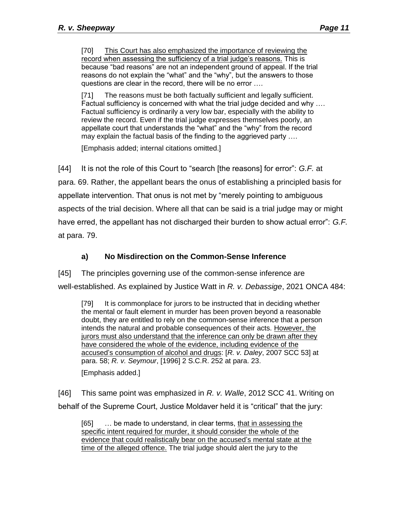[71] The reasons must be both factually sufficient and legally sufficient. Factual sufficiency is concerned with what the trial judge decided and why …. Factual sufficiency is ordinarily a very low bar, especially with the ability to review the record. Even if the trial judge expresses themselves poorly, an appellate court that understands the "what" and the "why" from the record may explain the factual basis of the finding to the aggrieved party ….

[Emphasis added; internal citations omitted.]

[44] It is not the role of this Court to "search [the reasons] for error": *G.F.* at para. 69. Rather, the appellant bears the onus of establishing a principled basis for appellate intervention. That onus is not met by "merely pointing to ambiguous aspects of the trial decision. Where all that can be said is a trial judge may or might have erred, the appellant has not discharged their burden to show actual error": *G.F.*  at para. 79.

# **a) No Misdirection on the Common-Sense Inference**

<span id="page-10-0"></span>[45] The principles governing use of the common-sense inference are well-established. As explained by Justice Watt in *R. v. Debassige*, 2021 ONCA 484:

[79] It is commonplace for jurors to be instructed that in deciding whether the mental or fault element in murder has been proven beyond a reasonable doubt, they are entitled to rely on the common-sense inference that a person intends the natural and probable consequences of their acts. However, the jurors must also understand that the inference can only be drawn after they have considered the whole of the evidence, including evidence of the accused's consumption of alcohol and drugs: [*R. v. Daley*, 2007 SCC 53] at para. 58; *R. v. Seymour*, [1996] 2 S.C.R. 252 at para. 23.

[Emphasis added.]

[46] This same point was emphasized in *R. v. Walle*, 2012 SCC 41. Writing on behalf of the Supreme Court, Justice Moldaver held it is "critical" that the jury:

[65] ... be made to understand, in clear terms, that in assessing the specific intent required for murder, it should consider the whole of the evidence that could realistically bear on the accused's mental state at the time of the alleged offence. The trial judge should alert the jury to the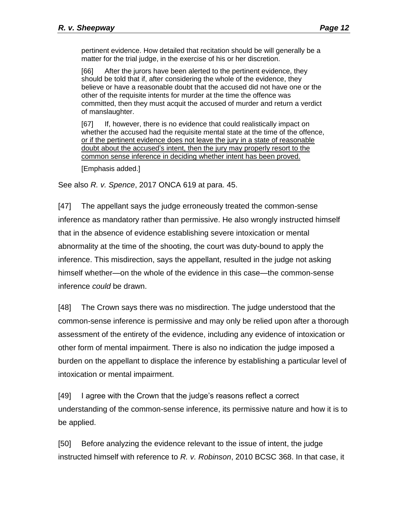pertinent evidence. How detailed that recitation should be will generally be a matter for the trial judge, in the exercise of his or her discretion.

[66] After the jurors have been alerted to the pertinent evidence, they should be told that if, after considering the whole of the evidence, they believe or have a reasonable doubt that the accused did not have one or the other of the requisite intents for murder at the time the offence was committed, then they must acquit the accused of murder and return a verdict of manslaughter.

[67] If, however, there is no evidence that could realistically impact on whether the accused had the requisite mental state at the time of the offence, or if the pertinent evidence does not leave the jury in a state of reasonable doubt about the accused's intent, then the jury may properly resort to the common sense inference in deciding whether intent has been proved.

[Emphasis added.]

See also *R. v. Spence*, 2017 ONCA 619 at para. 45.

[47] The appellant says the judge erroneously treated the common-sense inference as mandatory rather than permissive. He also wrongly instructed himself that in the absence of evidence establishing severe intoxication or mental abnormality at the time of the shooting, the court was duty-bound to apply the inference. This misdirection, says the appellant, resulted in the judge not asking himself whether—on the whole of the evidence in this case—the common-sense inference *could* be drawn.

[48] The Crown says there was no misdirection. The judge understood that the common-sense inference is permissive and may only be relied upon after a thorough assessment of the entirety of the evidence, including any evidence of intoxication or other form of mental impairment. There is also no indication the judge imposed a burden on the appellant to displace the inference by establishing a particular level of intoxication or mental impairment.

[49] I agree with the Crown that the judge's reasons reflect a correct understanding of the common-sense inference, its permissive nature and how it is to be applied.

[50] Before analyzing the evidence relevant to the issue of intent, the judge instructed himself with reference to *R. v. Robinson*, 2010 BCSC 368. In that case, it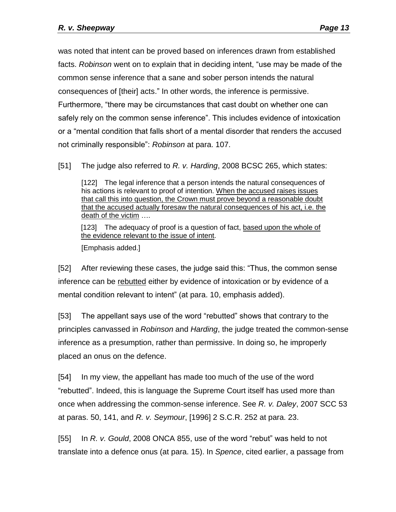was noted that intent can be proved based on inferences drawn from established facts. *Robinson* went on to explain that in deciding intent, "use may be made of the common sense inference that a sane and sober person intends the natural consequences of [their] acts." In other words, the inference is permissive. Furthermore, "there may be circumstances that cast doubt on whether one can safely rely on the common sense inference". This includes evidence of intoxication or a "mental condition that falls short of a mental disorder that renders the accused not criminally responsible": *Robinson* at para. 107.

[51] The judge also referred to *R. v. Harding*, 2008 BCSC 265, which states:

[122] The legal inference that a person intends the natural consequences of his actions is relevant to proof of intention. When the accused raises issues that call this into question, the Crown must prove beyond a reasonable doubt that the accused actually foresaw the natural consequences of his act, i.e. the death of the victim ….

[123] The adequacy of proof is a question of fact, based upon the whole of the evidence relevant to the issue of intent.

[Emphasis added.]

[52] After reviewing these cases, the judge said this: "Thus, the common sense inference can be rebutted either by evidence of intoxication or by evidence of a mental condition relevant to intent" (at para. 10, emphasis added).

[53] The appellant says use of the word "rebutted" shows that contrary to the principles canvassed in *Robinson* and *Harding*, the judge treated the common-sense inference as a presumption, rather than permissive. In doing so, he improperly placed an onus on the defence.

[54] In my view, the appellant has made too much of the use of the word "rebutted". Indeed, this is language the Supreme Court itself has used more than once when addressing the common-sense inference. See *R. v. Daley*, 2007 SCC 53 at paras. 50, 141, and *R. v. Seymour*, [1996] 2 S.C.R. 252 at para. 23.

[55] In *R. v. Gould*, 2008 ONCA 855, use of the word "rebut" was held to not translate into a defence onus (at para. 15). In *Spence*, cited earlier, a passage from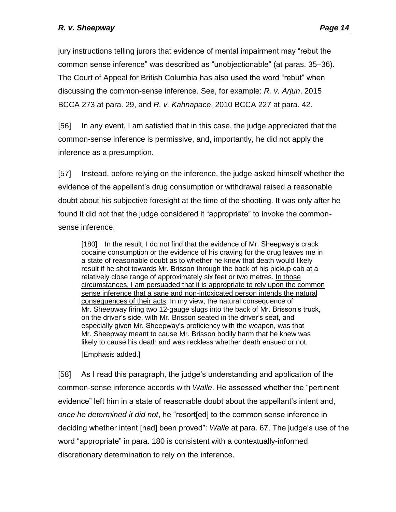jury instructions telling jurors that evidence of mental impairment may "rebut the common sense inference" was described as "unobjectionable" (at paras. 35–36). The Court of Appeal for British Columbia has also used the word "rebut" when discussing the common-sense inference. See, for example: *R. v. Arjun*, 2015 BCCA 273 at para. 29, and *R. v. Kahnapace*, 2010 BCCA 227 at para. 42.

[56] In any event, I am satisfied that in this case, the judge appreciated that the common-sense inference is permissive, and, importantly, he did not apply the inference as a presumption.

[57] Instead, before relying on the inference, the judge asked himself whether the evidence of the appellant's drug consumption or withdrawal raised a reasonable doubt about his subjective foresight at the time of the shooting. It was only after he found it did not that the judge considered it "appropriate" to invoke the commonsense inference:

[180] In the result, I do not find that the evidence of Mr. Sheepway's crack cocaine consumption or the evidence of his craving for the drug leaves me in a state of reasonable doubt as to whether he knew that death would likely result if he shot towards Mr. Brisson through the back of his pickup cab at a relatively close range of approximately six feet or two metres. In those circumstances, I am persuaded that it is appropriate to rely upon the common sense inference that a sane and non-intoxicated person intends the natural consequences of their acts. In my view, the natural consequence of Mr. Sheepway firing two 12-gauge slugs into the back of Mr. Brisson's truck, on the driver's side, with Mr. Brisson seated in the driver's seat, and especially given Mr. Sheepway's proficiency with the weapon, was that Mr. Sheepway meant to cause Mr. Brisson bodily harm that he knew was likely to cause his death and was reckless whether death ensued or not.

[Emphasis added.]

[58] As I read this paragraph, the judge's understanding and application of the common-sense inference accords with *Walle*. He assessed whether the "pertinent evidence" left him in a state of reasonable doubt about the appellant's intent and, *once he determined it did not*, he "resort[ed] to the common sense inference in deciding whether intent [had] been proved": *Walle* at para. 67. The judge's use of the word "appropriate" in para. 180 is consistent with a contextually-informed discretionary determination to rely on the inference.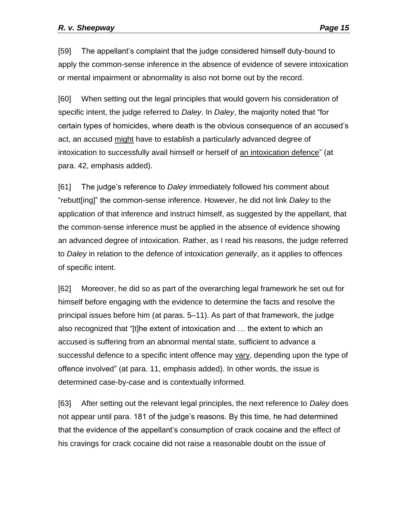[59] The appellant's complaint that the judge considered himself duty-bound to apply the common-sense inference in the absence of evidence of severe intoxication or mental impairment or abnormality is also not borne out by the record.

[60] When setting out the legal principles that would govern his consideration of specific intent, the judge referred to *Daley*. In *Daley*, the majority noted that "for certain types of homicides, where death is the obvious consequence of an accused's act, an accused might have to establish a particularly advanced degree of intoxication to successfully avail himself or herself of an intoxication defence" (at para. 42, emphasis added).

[61] The judge's reference to *Daley* immediately followed his comment about "rebutt[ing]" the common-sense inference. However, he did not link *Daley* to the application of that inference and instruct himself, as suggested by the appellant, that the common-sense inference must be applied in the absence of evidence showing an advanced degree of intoxication. Rather, as I read his reasons, the judge referred to *Daley* in relation to the defence of intoxication *generally*, as it applies to offences of specific intent.

[62] Moreover, he did so as part of the overarching legal framework he set out for himself before engaging with the evidence to determine the facts and resolve the principal issues before him (at paras. 5–11). As part of that framework, the judge also recognized that "[t]he extent of intoxication and … the extent to which an accused is suffering from an abnormal mental state, sufficient to advance a successful defence to a specific intent offence may vary, depending upon the type of offence involved" (at para. 11, emphasis added). In other words, the issue is determined case-by-case and is contextually informed.

[63] After setting out the relevant legal principles, the next reference to *Daley* does not appear until para. 181 of the judge's reasons. By this time, he had determined that the evidence of the appellant's consumption of crack cocaine and the effect of his cravings for crack cocaine did not raise a reasonable doubt on the issue of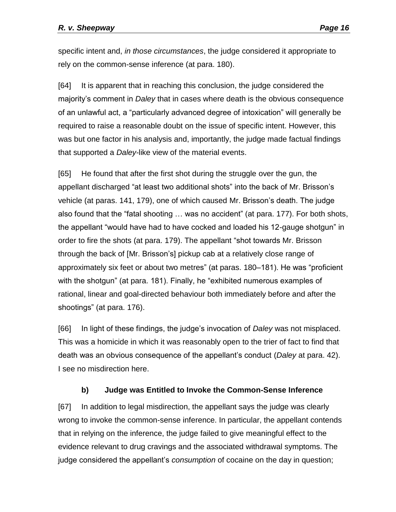specific intent and, *in those circumstances*, the judge considered it appropriate to rely on the common-sense inference (at para. 180).

[64] It is apparent that in reaching this conclusion, the judge considered the majority's comment in *Daley* that in cases where death is the obvious consequence of an unlawful act, a "particularly advanced degree of intoxication" will generally be required to raise a reasonable doubt on the issue of specific intent. However, this was but one factor in his analysis and, importantly, the judge made factual findings that supported a *Daley-*like view of the material events.

[65] He found that after the first shot during the struggle over the gun, the appellant discharged "at least two additional shots" into the back of Mr. Brisson's vehicle (at paras. 141, 179), one of which caused Mr. Brisson's death. The judge also found that the "fatal shooting … was no accident" (at para. 177). For both shots, the appellant "would have had to have cocked and loaded his 12-gauge shotgun" in order to fire the shots (at para. 179). The appellant "shot towards Mr. Brisson through the back of [Mr. Brisson's] pickup cab at a relatively close range of approximately six feet or about two metres" (at paras. 180–181). He was "proficient with the shotgun" (at para. 181). Finally, he "exhibited numerous examples of rational, linear and goal-directed behaviour both immediately before and after the shootings" (at para. 176).

[66] In light of these findings, the judge's invocation of *Daley* was not misplaced. This was a homicide in which it was reasonably open to the trier of fact to find that death was an obvious consequence of the appellant's conduct (*Daley* at para. 42). I see no misdirection here.

# **b) Judge was Entitled to Invoke the Common-Sense Inference**

<span id="page-15-0"></span>[67] In addition to legal misdirection, the appellant says the judge was clearly wrong to invoke the common-sense inference. In particular, the appellant contends that in relying on the inference, the judge failed to give meaningful effect to the evidence relevant to drug cravings and the associated withdrawal symptoms. The judge considered the appellant's *consumption* of cocaine on the day in question;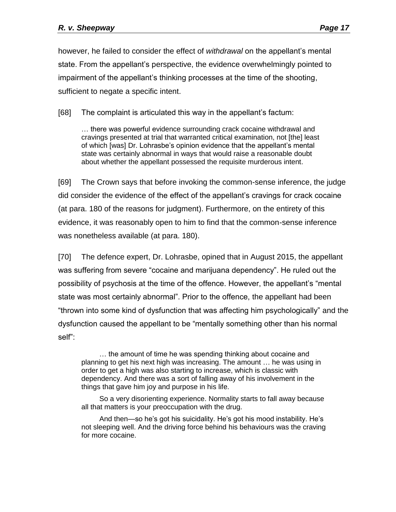however, he failed to consider the effect of *withdrawal* on the appellant's mental state. From the appellant's perspective, the evidence overwhelmingly pointed to impairment of the appellant's thinking processes at the time of the shooting, sufficient to negate a specific intent.

[68] The complaint is articulated this way in the appellant's factum:

… there was powerful evidence surrounding crack cocaine withdrawal and cravings presented at trial that warranted critical examination, not [the] least of which [was] Dr. Lohrasbe's opinion evidence that the appellant's mental state was certainly abnormal in ways that would raise a reasonable doubt about whether the appellant possessed the requisite murderous intent.

[69] The Crown says that before invoking the common-sense inference, the judge did consider the evidence of the effect of the appellant's cravings for crack cocaine (at para. 180 of the reasons for judgment). Furthermore, on the entirety of this evidence, it was reasonably open to him to find that the common-sense inference was nonetheless available (at para. 180).

[70] The defence expert, Dr. Lohrasbe, opined that in August 2015, the appellant was suffering from severe "cocaine and marijuana dependency". He ruled out the possibility of psychosis at the time of the offence. However, the appellant's "mental state was most certainly abnormal". Prior to the offence, the appellant had been "thrown into some kind of dysfunction that was affecting him psychologically" and the dysfunction caused the appellant to be "mentally something other than his normal self":

… the amount of time he was spending thinking about cocaine and planning to get his next high was increasing. The amount … he was using in order to get a high was also starting to increase, which is classic with dependency. And there was a sort of falling away of his involvement in the things that gave him joy and purpose in his life.

So a very disorienting experience. Normality starts to fall away because all that matters is your preoccupation with the drug.

And then—so he's got his suicidality. He's got his mood instability. He's not sleeping well. And the driving force behind his behaviours was the craving for more cocaine.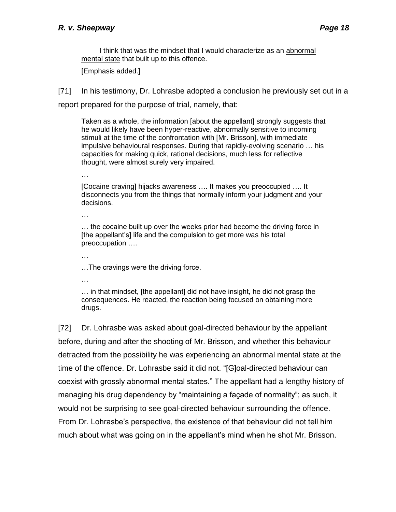I think that was the mindset that I would characterize as an abnormal mental state that built up to this offence.

[Emphasis added.]

[71] In his testimony, Dr. Lohrasbe adopted a conclusion he previously set out in a

report prepared for the purpose of trial, namely, that:

Taken as a whole, the information [about the appellant] strongly suggests that he would likely have been hyper-reactive, abnormally sensitive to incoming stimuli at the time of the confrontation with [Mr. Brisson], with immediate impulsive behavioural responses. During that rapidly-evolving scenario … his capacities for making quick, rational decisions, much less for reflective thought, were almost surely very impaired.

[Cocaine craving] hijacks awareness …. It makes you preoccupied …. It disconnects you from the things that normally inform your judgment and your decisions.

… … the cocaine built up over the weeks prior had become the driving force in [the appellant's] life and the compulsion to get more was his total preoccupation ….

…The cravings were the driving force.

…

…

…

… in that mindset, [the appellant] did not have insight, he did not grasp the consequences. He reacted, the reaction being focused on obtaining more drugs.

[72] Dr. Lohrasbe was asked about goal-directed behaviour by the appellant before, during and after the shooting of Mr. Brisson, and whether this behaviour detracted from the possibility he was experiencing an abnormal mental state at the time of the offence. Dr. Lohrasbe said it did not. "[G]oal-directed behaviour can coexist with grossly abnormal mental states." The appellant had a lengthy history of managing his drug dependency by "maintaining a façade of normality"; as such, it would not be surprising to see goal-directed behaviour surrounding the offence. From Dr. Lohrasbe's perspective, the existence of that behaviour did not tell him much about what was going on in the appellant's mind when he shot Mr. Brisson.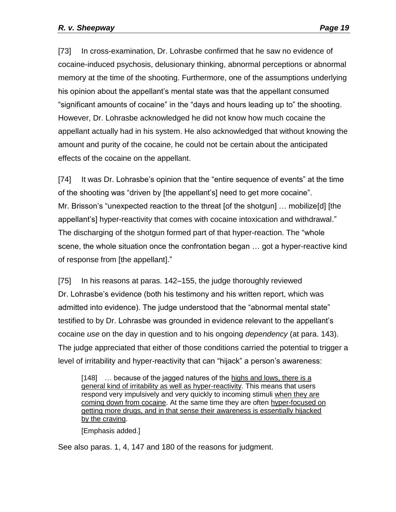[73] In cross-examination, Dr. Lohrasbe confirmed that he saw no evidence of cocaine-induced psychosis, delusionary thinking, abnormal perceptions or abnormal memory at the time of the shooting. Furthermore, one of the assumptions underlying his opinion about the appellant's mental state was that the appellant consumed "significant amounts of cocaine" in the "days and hours leading up to" the shooting. However, Dr. Lohrasbe acknowledged he did not know how much cocaine the appellant actually had in his system. He also acknowledged that without knowing the amount and purity of the cocaine, he could not be certain about the anticipated effects of the cocaine on the appellant.

[74] It was Dr. Lohrasbe's opinion that the "entire sequence of events" at the time of the shooting was "driven by [the appellant's] need to get more cocaine". Mr. Brisson's "unexpected reaction to the threat [of the shotgun] … mobilize[d] [the appellant's] hyper-reactivity that comes with cocaine intoxication and withdrawal." The discharging of the shotgun formed part of that hyper-reaction. The "whole scene, the whole situation once the confrontation began … got a hyper-reactive kind of response from [the appellant]."

[75] In his reasons at paras. 142–155, the judge thoroughly reviewed Dr. Lohrasbe's evidence (both his testimony and his written report, which was admitted into evidence). The judge understood that the "abnormal mental state" testified to by Dr. Lohrasbe was grounded in evidence relevant to the appellant's cocaine *use* on the day in question and to his ongoing *dependency* (at para. 143). The judge appreciated that either of those conditions carried the potential to trigger a level of irritability and hyper-reactivity that can "hijack" a person's awareness:

[148] ... because of the jagged natures of the highs and lows, there is a general kind of irritability as well as hyper-reactivity. This means that users respond very impulsively and very quickly to incoming stimuli when they are coming down from cocaine. At the same time they are often hyper-focused on getting more drugs, and in that sense their awareness is essentially hijacked by the craving.

[Emphasis added.]

See also paras. 1, 4, 147 and 180 of the reasons for judgment.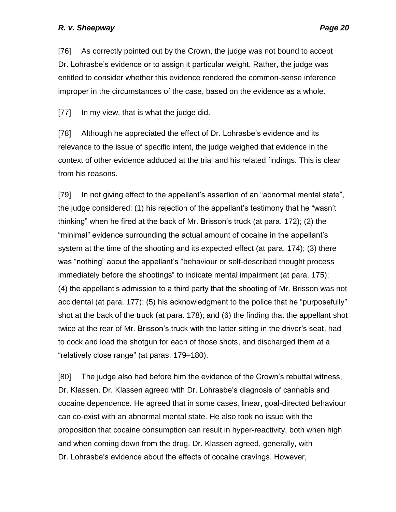[76] As correctly pointed out by the Crown, the judge was not bound to accept Dr. Lohrasbe's evidence or to assign it particular weight. Rather, the judge was entitled to consider whether this evidence rendered the common-sense inference improper in the circumstances of the case, based on the evidence as a whole.

[77] In my view, that is what the judge did.

[78] Although he appreciated the effect of Dr. Lohrasbe's evidence and its relevance to the issue of specific intent, the judge weighed that evidence in the context of other evidence adduced at the trial and his related findings. This is clear from his reasons.

[79] In not giving effect to the appellant's assertion of an "abnormal mental state", the judge considered: (1) his rejection of the appellant's testimony that he "wasn't thinking" when he fired at the back of Mr. Brisson's truck (at para. 172); (2) the "minimal" evidence surrounding the actual amount of cocaine in the appellant's system at the time of the shooting and its expected effect (at para. 174); (3) there was "nothing" about the appellant's "behaviour or self-described thought process immediately before the shootings" to indicate mental impairment (at para. 175); (4) the appellant's admission to a third party that the shooting of Mr. Brisson was not accidental (at para. 177); (5) his acknowledgment to the police that he "purposefully" shot at the back of the truck (at para. 178); and (6) the finding that the appellant shot twice at the rear of Mr. Brisson's truck with the latter sitting in the driver's seat, had to cock and load the shotgun for each of those shots, and discharged them at a "relatively close range" (at paras. 179–180).

[80] The judge also had before him the evidence of the Crown's rebuttal witness, Dr. Klassen. Dr. Klassen agreed with Dr. Lohrasbe's diagnosis of cannabis and cocaine dependence. He agreed that in some cases, linear, goal-directed behaviour can co-exist with an abnormal mental state. He also took no issue with the proposition that cocaine consumption can result in hyper-reactivity, both when high and when coming down from the drug. Dr. Klassen agreed, generally, with Dr. Lohrasbe's evidence about the effects of cocaine cravings. However,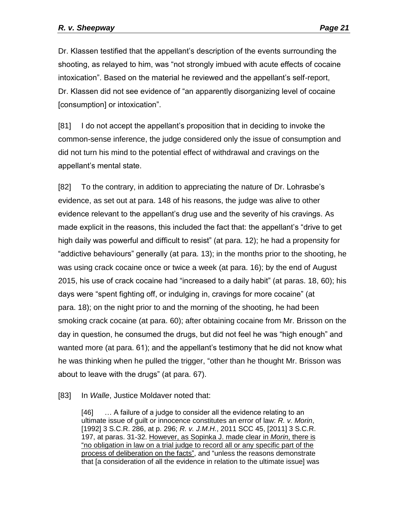Dr. Klassen testified that the appellant's description of the events surrounding the shooting, as relayed to him, was "not strongly imbued with acute effects of cocaine intoxication". Based on the material he reviewed and the appellant's self-report, Dr. Klassen did not see evidence of "an apparently disorganizing level of cocaine [consumption] or intoxication".

[81] I do not accept the appellant's proposition that in deciding to invoke the common-sense inference, the judge considered only the issue of consumption and did not turn his mind to the potential effect of withdrawal and cravings on the appellant's mental state.

[82] To the contrary, in addition to appreciating the nature of Dr. Lohrasbe's evidence, as set out at para. 148 of his reasons, the judge was alive to other evidence relevant to the appellant's drug use and the severity of his cravings. As made explicit in the reasons, this included the fact that: the appellant's "drive to get high daily was powerful and difficult to resist" (at para. 12); he had a propensity for "addictive behaviours" generally (at para. 13); in the months prior to the shooting, he was using crack cocaine once or twice a week (at para. 16); by the end of August 2015, his use of crack cocaine had "increased to a daily habit" (at paras. 18, 60); his days were "spent fighting off, or indulging in, cravings for more cocaine" (at para. 18); on the night prior to and the morning of the shooting, he had been smoking crack cocaine (at para. 60); after obtaining cocaine from Mr. Brisson on the day in question, he consumed the drugs, but did not feel he was "high enough" and wanted more (at para. 61); and the appellant's testimony that he did not know what he was thinking when he pulled the trigger, "other than he thought Mr. Brisson was about to leave with the drugs" (at para. 67).

[83] In *Walle*, Justice Moldaver noted that:

[46] ... A failure of a judge to consider all the evidence relating to an ultimate issue of guilt or innocence constitutes an error of law: *R. v. Morin*, [1992] 3 S.C.R. 286, at p. 296; *R. v. J.M.H.*, 2011 SCC 45, [2011] 3 S.C.R. 197, at paras. 31-32. However, as Sopinka J. made clear in *Morin*, there is "no obligation in law on a trial judge to record all or any specific part of the process of deliberation on the facts", and "unless the reasons demonstrate that [a consideration of all the evidence in relation to the ultimate issue] was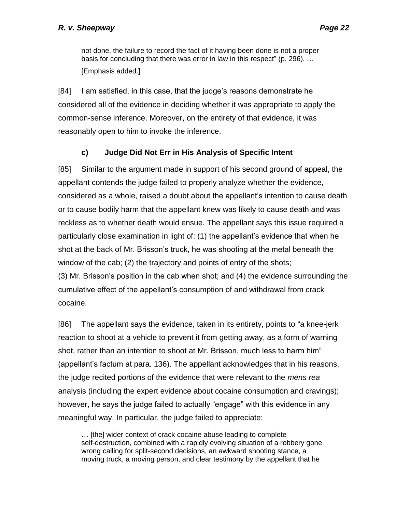not done, the failure to record the fact of it having been done is not a proper basis for concluding that there was error in law in this respect" (p. 296). … [Emphasis added.]

[84] I am satisfied, in this case, that the judge's reasons demonstrate he considered all of the evidence in deciding whether it was appropriate to apply the common-sense inference. Moreover, on the entirety of that evidence, it was reasonably open to him to invoke the inference.

# **c) Judge Did Not Err in His Analysis of Specific Intent**

<span id="page-21-0"></span>[85] Similar to the argument made in support of his second ground of appeal, the appellant contends the judge failed to properly analyze whether the evidence, considered as a whole, raised a doubt about the appellant's intention to cause death or to cause bodily harm that the appellant knew was likely to cause death and was reckless as to whether death would ensue. The appellant says this issue required a particularly close examination in light of: (1) the appellant's evidence that when he shot at the back of Mr. Brisson's truck, he was shooting at the metal beneath the window of the cab; (2) the trajectory and points of entry of the shots; (3) Mr. Brisson's position in the cab when shot; and (4) the evidence surrounding the cumulative effect of the appellant's consumption of and withdrawal from crack cocaine.

[86] The appellant says the evidence, taken in its entirety, points to "a knee-jerk reaction to shoot at a vehicle to prevent it from getting away, as a form of warning shot, rather than an intention to shoot at Mr. Brisson, much less to harm him" (appellant's factum at para. 136). The appellant acknowledges that in his reasons, the judge recited portions of the evidence that were relevant to the *mens rea*  analysis (including the expert evidence about cocaine consumption and cravings); however, he says the judge failed to actually "engage" with this evidence in any meaningful way. In particular, the judge failed to appreciate:

… [the] wider context of crack cocaine abuse leading to complete self-destruction, combined with a rapidly evolving situation of a robbery gone wrong calling for split-second decisions, an awkward shooting stance, a moving truck, a moving person, and clear testimony by the appellant that he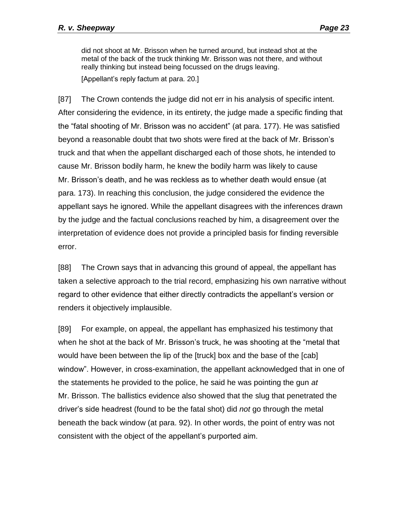did not shoot at Mr. Brisson when he turned around, but instead shot at the metal of the back of the truck thinking Mr. Brisson was not there, and without really thinking but instead being focussed on the drugs leaving.

[Appellant's reply factum at para. 20.]

[87] The Crown contends the judge did not err in his analysis of specific intent. After considering the evidence, in its entirety, the judge made a specific finding that the "fatal shooting of Mr. Brisson was no accident" (at para. 177). He was satisfied beyond a reasonable doubt that two shots were fired at the back of Mr. Brisson's truck and that when the appellant discharged each of those shots, he intended to cause Mr. Brisson bodily harm, he knew the bodily harm was likely to cause Mr. Brisson's death, and he was reckless as to whether death would ensue (at para. 173). In reaching this conclusion, the judge considered the evidence the appellant says he ignored. While the appellant disagrees with the inferences drawn by the judge and the factual conclusions reached by him, a disagreement over the interpretation of evidence does not provide a principled basis for finding reversible error.

[88] The Crown says that in advancing this ground of appeal, the appellant has taken a selective approach to the trial record, emphasizing his own narrative without regard to other evidence that either directly contradicts the appellant's version or renders it objectively implausible.

[89] For example, on appeal, the appellant has emphasized his testimony that when he shot at the back of Mr. Brisson's truck, he was shooting at the "metal that would have been between the lip of the [truck] box and the base of the [cab] window". However, in cross-examination, the appellant acknowledged that in one of the statements he provided to the police, he said he was pointing the gun *at* Mr. Brisson. The ballistics evidence also showed that the slug that penetrated the driver's side headrest (found to be the fatal shot) did *not* go through the metal beneath the back window (at para. 92). In other words, the point of entry was not consistent with the object of the appellant's purported aim.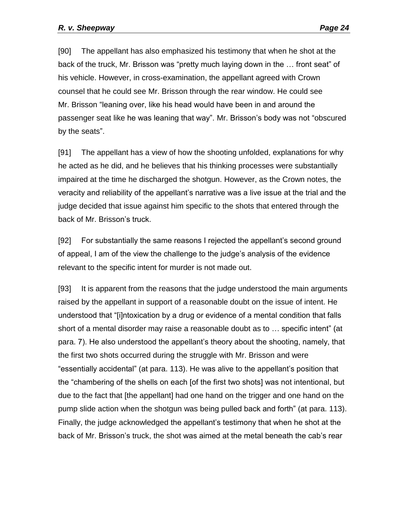[90] The appellant has also emphasized his testimony that when he shot at the back of the truck, Mr. Brisson was "pretty much laying down in the … front seat" of his vehicle. However, in cross-examination, the appellant agreed with Crown counsel that he could see Mr. Brisson through the rear window. He could see Mr. Brisson "leaning over, like his head would have been in and around the passenger seat like he was leaning that way". Mr. Brisson's body was not "obscured by the seats".

[91] The appellant has a view of how the shooting unfolded, explanations for why he acted as he did, and he believes that his thinking processes were substantially impaired at the time he discharged the shotgun. However, as the Crown notes, the veracity and reliability of the appellant's narrative was a live issue at the trial and the judge decided that issue against him specific to the shots that entered through the back of Mr. Brisson's truck.

[92] For substantially the same reasons I rejected the appellant's second ground of appeal, I am of the view the challenge to the judge's analysis of the evidence relevant to the specific intent for murder is not made out.

[93] It is apparent from the reasons that the judge understood the main arguments raised by the appellant in support of a reasonable doubt on the issue of intent. He understood that "[i]ntoxication by a drug or evidence of a mental condition that falls short of a mental disorder may raise a reasonable doubt as to … specific intent" (at para. 7). He also understood the appellant's theory about the shooting, namely, that the first two shots occurred during the struggle with Mr. Brisson and were "essentially accidental" (at para. 113). He was alive to the appellant's position that the "chambering of the shells on each [of the first two shots] was not intentional, but due to the fact that [the appellant] had one hand on the trigger and one hand on the pump slide action when the shotgun was being pulled back and forth" (at para. 113). Finally, the judge acknowledged the appellant's testimony that when he shot at the back of Mr. Brisson's truck, the shot was aimed at the metal beneath the cab's rear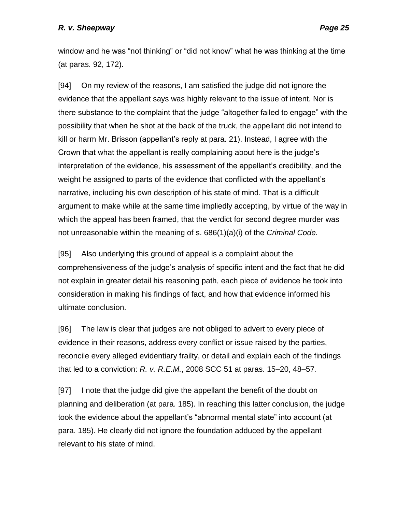window and he was "not thinking" or "did not know" what he was thinking at the time (at paras. 92, 172).

[94] On my review of the reasons, I am satisfied the judge did not ignore the evidence that the appellant says was highly relevant to the issue of intent. Nor is there substance to the complaint that the judge "altogether failed to engage" with the possibility that when he shot at the back of the truck, the appellant did not intend to kill or harm Mr. Brisson (appellant's reply at para. 21). Instead, I agree with the Crown that what the appellant is really complaining about here is the judge's interpretation of the evidence, his assessment of the appellant's credibility, and the weight he assigned to parts of the evidence that conflicted with the appellant's narrative, including his own description of his state of mind. That is a difficult argument to make while at the same time impliedly accepting, by virtue of the way in which the appeal has been framed, that the verdict for second degree murder was not unreasonable within the meaning of s. 686(1)(a)(i) of the *Criminal Code.*

[95] Also underlying this ground of appeal is a complaint about the comprehensiveness of the judge's analysis of specific intent and the fact that he did not explain in greater detail his reasoning path, each piece of evidence he took into consideration in making his findings of fact, and how that evidence informed his ultimate conclusion.

[96] The law is clear that judges are not obliged to advert to every piece of evidence in their reasons, address every conflict or issue raised by the parties, reconcile every alleged evidentiary frailty, or detail and explain each of the findings that led to a conviction: *R. v. R.E.M.*, 2008 SCC 51 at paras. 15–20, 48–57*.*

[97] I note that the judge did give the appellant the benefit of the doubt on planning and deliberation (at para. 185). In reaching this latter conclusion, the judge took the evidence about the appellant's "abnormal mental state" into account (at para. 185). He clearly did not ignore the foundation adduced by the appellant relevant to his state of mind.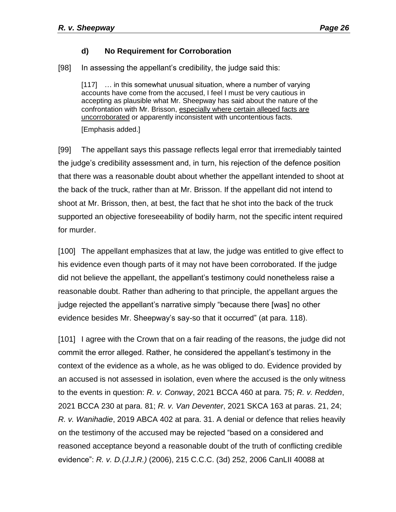#### **d) No Requirement for Corroboration**

<span id="page-25-0"></span>[98] In assessing the appellant's credibility, the judge said this:

[117] ... in this somewhat unusual situation, where a number of varying accounts have come from the accused, I feel I must be very cautious in accepting as plausible what Mr. Sheepway has said about the nature of the confrontation with Mr. Brisson, especially where certain alleged facts are uncorroborated or apparently inconsistent with uncontentious facts. [Emphasis added.]

[99] The appellant says this passage reflects legal error that irremediably tainted the judge's credibility assessment and, in turn, his rejection of the defence position that there was a reasonable doubt about whether the appellant intended to shoot at the back of the truck, rather than at Mr. Brisson. If the appellant did not intend to shoot at Mr. Brisson, then, at best, the fact that he shot into the back of the truck supported an objective foreseeability of bodily harm, not the specific intent required for murder.

[100] The appellant emphasizes that at law, the judge was entitled to give effect to his evidence even though parts of it may not have been corroborated. If the judge did not believe the appellant, the appellant's testimony could nonetheless raise a reasonable doubt. Rather than adhering to that principle, the appellant argues the judge rejected the appellant's narrative simply "because there [was] no other evidence besides Mr. Sheepway's say-so that it occurred" (at para. 118).

[101] I agree with the Crown that on a fair reading of the reasons, the judge did not commit the error alleged. Rather, he considered the appellant's testimony in the context of the evidence as a whole, as he was obliged to do. Evidence provided by an accused is not assessed in isolation, even where the accused is the only witness to the events in question: *R. v. Conway*, 2021 BCCA 460 at para. 75; *R. v. Redden*, 2021 BCCA 230 at para. 81; *R. v. Van Deventer*, 2021 SKCA 163 at paras. 21, 24; *R. v. Wanihadie*, 2019 ABCA 402 at para. 31. A denial or defence that relies heavily on the testimony of the accused may be rejected "based on a considered and reasoned acceptance beyond a reasonable doubt of the truth of conflicting credible evidence": *R. v. D.(J.J.R.)* (2006), 215 C.C.C. (3d) 252, 2006 CanLII 40088 at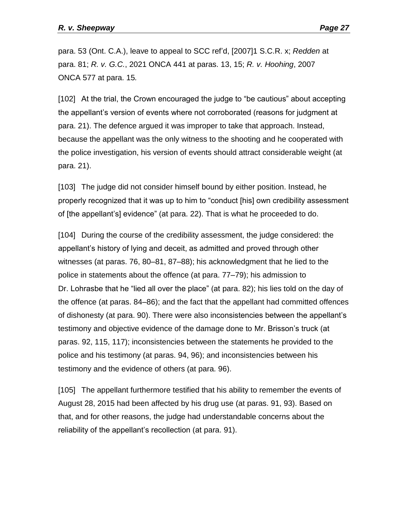para. 53 (Ont. C.A.), leave to appeal to SCC ref'd, [2007]1 S.C.R. x; *Redden* at para. 81; *R. v. G.C.*, 2021 ONCA 441 at paras. 13, 15; *R. v. Hoohing*, 2007 ONCA 577 at para. 15*.*

[102] At the trial, the Crown encouraged the judge to "be cautious" about accepting the appellant's version of events where not corroborated (reasons for judgment at para. 21). The defence argued it was improper to take that approach. Instead, because the appellant was the only witness to the shooting and he cooperated with the police investigation, his version of events should attract considerable weight (at para. 21).

[103] The judge did not consider himself bound by either position. Instead, he properly recognized that it was up to him to "conduct [his] own credibility assessment of [the appellant's] evidence" (at para. 22). That is what he proceeded to do.

[104] During the course of the credibility assessment, the judge considered: the appellant's history of lying and deceit, as admitted and proved through other witnesses (at paras. 76, 80–81, 87–88); his acknowledgment that he lied to the police in statements about the offence (at para. 77–79); his admission to Dr. Lohrasbe that he "lied all over the place" (at para. 82); his lies told on the day of the offence (at paras. 84–86); and the fact that the appellant had committed offences of dishonesty (at para. 90). There were also inconsistencies between the appellant's testimony and objective evidence of the damage done to Mr. Brisson's truck (at paras. 92, 115, 117); inconsistencies between the statements he provided to the police and his testimony (at paras. 94, 96); and inconsistencies between his testimony and the evidence of others (at para. 96).

[105] The appellant furthermore testified that his ability to remember the events of August 28, 2015 had been affected by his drug use (at paras. 91, 93). Based on that, and for other reasons, the judge had understandable concerns about the reliability of the appellant's recollection (at para. 91).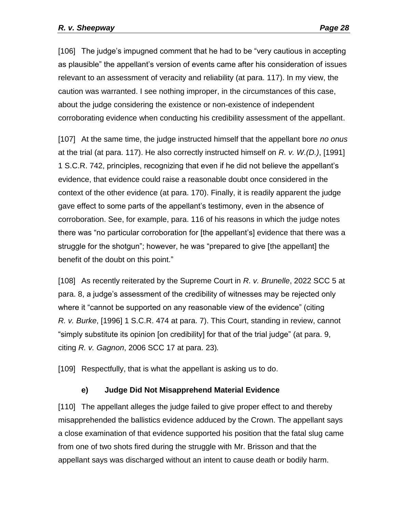[106] The judge's impugned comment that he had to be "very cautious in accepting as plausible" the appellant's version of events came after his consideration of issues relevant to an assessment of veracity and reliability (at para. 117). In my view, the caution was warranted. I see nothing improper, in the circumstances of this case, about the judge considering the existence or non-existence of independent corroborating evidence when conducting his credibility assessment of the appellant.

[107] At the same time, the judge instructed himself that the appellant bore *no onus* at the trial (at para. 117). He also correctly instructed himself on *R. v. W.(D.)*, [1991] 1 S.C.R. 742, principles, recognizing that even if he did not believe the appellant's evidence, that evidence could raise a reasonable doubt once considered in the context of the other evidence (at para. 170). Finally, it is readily apparent the judge gave effect to some parts of the appellant's testimony, even in the absence of corroboration. See, for example, para. 116 of his reasons in which the judge notes there was "no particular corroboration for [the appellant's] evidence that there was a struggle for the shotgun"; however, he was "prepared to give [the appellant] the benefit of the doubt on this point."

[108] As recently reiterated by the Supreme Court in *R. v. Brunelle*, 2022 SCC 5 at para. 8, a judge's assessment of the credibility of witnesses may be rejected only where it "cannot be supported on any reasonable view of the evidence" (citing *R. v. Burke*, [1996] 1 S.C.R. 474 at para. 7). This Court, standing in review, cannot "simply substitute its opinion [on credibility] for that of the trial judge" (at para. 9, citing *R. v. Gagnon*, 2006 SCC 17 at para. 23)*.*

[109] Respectfully, that is what the appellant is asking us to do.

### **e) Judge Did Not Misapprehend Material Evidence**

<span id="page-27-0"></span>[110] The appellant alleges the judge failed to give proper effect to and thereby misapprehended the ballistics evidence adduced by the Crown. The appellant says a close examination of that evidence supported his position that the fatal slug came from one of two shots fired during the struggle with Mr. Brisson and that the appellant says was discharged without an intent to cause death or bodily harm.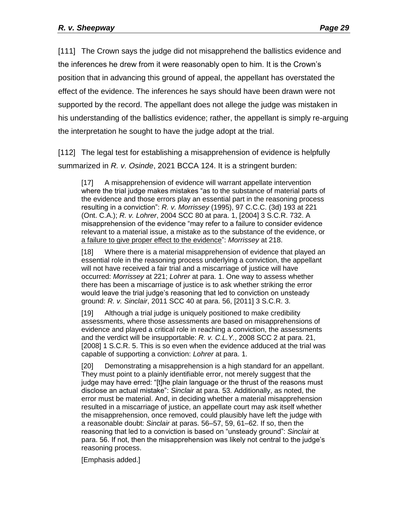[111] The Crown says the judge did not misapprehend the ballistics evidence and the inferences he drew from it were reasonably open to him. It is the Crown's position that in advancing this ground of appeal, the appellant has overstated the effect of the evidence. The inferences he says should have been drawn were not supported by the record. The appellant does not allege the judge was mistaken in his understanding of the ballistics evidence; rather, the appellant is simply re-arguing the interpretation he sought to have the judge adopt at the trial.

[112] The legal test for establishing a misapprehension of evidence is helpfully summarized in *R. v. Osinde*, 2021 BCCA 124. It is a stringent burden:

[17] A misapprehension of evidence will warrant appellate intervention where the trial judge makes mistakes "as to the substance of material parts of the evidence and those errors play an essential part in the reasoning process resulting in a conviction": *R. v. Morrissey* (1995), 97 C.C.C. (3d) 193 at 221 (Ont. C.A.); *R. v. Lohrer*, 2004 SCC 80 at para. 1, [2004] 3 S.C.R. 732. A misapprehension of the evidence "may refer to a failure to consider evidence relevant to a material issue, a mistake as to the substance of the evidence, or a failure to give proper effect to the evidence": *Morrissey* at 218.

[18] Where there is a material misapprehension of evidence that played an essential role in the reasoning process underlying a conviction, the appellant will not have received a fair trial and a miscarriage of justice will have occurred: *Morrissey* at 221; *Lohrer* at para. 1. One way to assess whether there has been a miscarriage of justice is to ask whether striking the error would leave the trial judge's reasoning that led to conviction on unsteady ground: *R. v. Sinclair*, 2011 SCC 40 at para. 56, [2011] 3 S.C.R. 3.

[19] Although a trial judge is uniquely positioned to make credibility assessments, where those assessments are based on misapprehensions of evidence and played a critical role in reaching a conviction, the assessments and the verdict will be insupportable: *R. v. C.L.Y.*, 2008 SCC 2 at para. 21, [2008] 1 S.C.R. 5. This is so even when the evidence adduced at the trial was capable of supporting a conviction: *Lohrer* at para. 1.

[20] Demonstrating a misapprehension is a high standard for an appellant. They must point to a plainly identifiable error, not merely suggest that the judge may have erred: "[t]he plain language or the thrust of the reasons must disclose an actual mistake": *Sinclair* at para. 53. Additionally, as noted, the error must be material. And, in deciding whether a material misapprehension resulted in a miscarriage of justice, an appellate court may ask itself whether the misapprehension, once removed, could plausibly have left the judge with a reasonable doubt: *Sinclair* at paras. 56–57, 59, 61–62. If so, then the reasoning that led to a conviction is based on "unsteady ground": *Sinclair* at para. 56. If not, then the misapprehension was likely not central to the judge's reasoning process.

[Emphasis added.]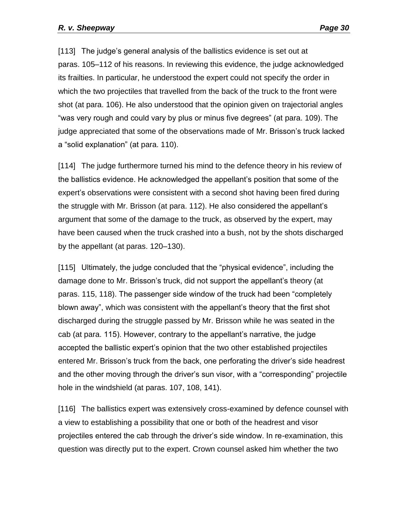[113] The judge's general analysis of the ballistics evidence is set out at paras. 105–112 of his reasons. In reviewing this evidence, the judge acknowledged its frailties. In particular, he understood the expert could not specify the order in which the two projectiles that travelled from the back of the truck to the front were shot (at para. 106). He also understood that the opinion given on trajectorial angles "was very rough and could vary by plus or minus five degrees" (at para. 109). The judge appreciated that some of the observations made of Mr. Brisson's truck lacked a "solid explanation" (at para. 110).

[114] The judge furthermore turned his mind to the defence theory in his review of the ballistics evidence. He acknowledged the appellant's position that some of the expert's observations were consistent with a second shot having been fired during the struggle with Mr. Brisson (at para. 112). He also considered the appellant's argument that some of the damage to the truck, as observed by the expert, may have been caused when the truck crashed into a bush, not by the shots discharged by the appellant (at paras. 120–130).

[115] Ultimately, the judge concluded that the "physical evidence", including the damage done to Mr. Brisson's truck, did not support the appellant's theory (at paras. 115, 118). The passenger side window of the truck had been "completely blown away", which was consistent with the appellant's theory that the first shot discharged during the struggle passed by Mr. Brisson while he was seated in the cab (at para. 115). However, contrary to the appellant's narrative, the judge accepted the ballistic expert's opinion that the two other established projectiles entered Mr. Brisson's truck from the back, one perforating the driver's side headrest and the other moving through the driver's sun visor, with a "corresponding" projectile hole in the windshield (at paras. 107, 108, 141).

[116] The ballistics expert was extensively cross-examined by defence counsel with a view to establishing a possibility that one or both of the headrest and visor projectiles entered the cab through the driver's side window. In re-examination, this question was directly put to the expert. Crown counsel asked him whether the two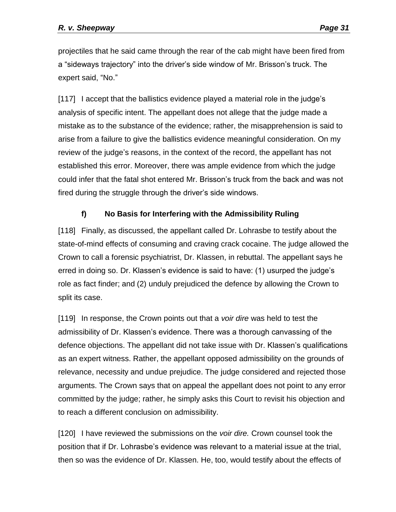projectiles that he said came through the rear of the cab might have been fired from a "sideways trajectory" into the driver's side window of Mr. Brisson's truck. The expert said, "No."

[117] I accept that the ballistics evidence played a material role in the judge's analysis of specific intent. The appellant does not allege that the judge made a mistake as to the substance of the evidence; rather, the misapprehension is said to arise from a failure to give the ballistics evidence meaningful consideration. On my review of the judge's reasons, in the context of the record, the appellant has not established this error. Moreover, there was ample evidence from which the judge could infer that the fatal shot entered Mr. Brisson's truck from the back and was not fired during the struggle through the driver's side windows.

### **f) No Basis for Interfering with the Admissibility Ruling**

<span id="page-30-0"></span>[118] Finally, as discussed, the appellant called Dr. Lohrasbe to testify about the state-of-mind effects of consuming and craving crack cocaine. The judge allowed the Crown to call a forensic psychiatrist, Dr. Klassen, in rebuttal. The appellant says he erred in doing so. Dr. Klassen's evidence is said to have: (1) usurped the judge's role as fact finder; and (2) unduly prejudiced the defence by allowing the Crown to split its case.

[119] In response, the Crown points out that a *voir dire* was held to test the admissibility of Dr. Klassen's evidence. There was a thorough canvassing of the defence objections. The appellant did not take issue with Dr. Klassen's qualifications as an expert witness. Rather, the appellant opposed admissibility on the grounds of relevance, necessity and undue prejudice. The judge considered and rejected those arguments. The Crown says that on appeal the appellant does not point to any error committed by the judge; rather, he simply asks this Court to revisit his objection and to reach a different conclusion on admissibility.

[120] I have reviewed the submissions on the *voir dire.* Crown counsel took the position that if Dr. Lohrasbe's evidence was relevant to a material issue at the trial, then so was the evidence of Dr. Klassen. He, too, would testify about the effects of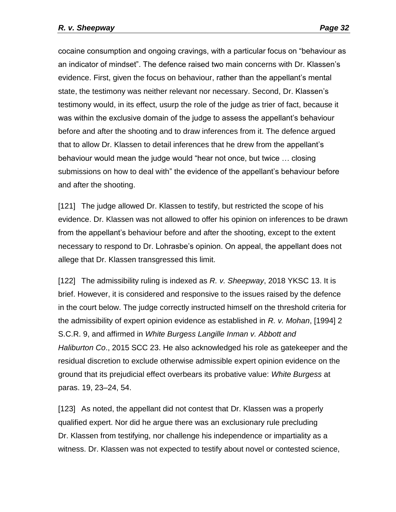cocaine consumption and ongoing cravings, with a particular focus on "behaviour as an indicator of mindset". The defence raised two main concerns with Dr. Klassen's evidence. First, given the focus on behaviour, rather than the appellant's mental state, the testimony was neither relevant nor necessary. Second, Dr. Klassen's testimony would, in its effect, usurp the role of the judge as trier of fact, because it was within the exclusive domain of the judge to assess the appellant's behaviour before and after the shooting and to draw inferences from it. The defence argued that to allow Dr. Klassen to detail inferences that he drew from the appellant's behaviour would mean the judge would "hear not once, but twice … closing submissions on how to deal with" the evidence of the appellant's behaviour before and after the shooting.

[121] The judge allowed Dr. Klassen to testify, but restricted the scope of his evidence. Dr. Klassen was not allowed to offer his opinion on inferences to be drawn from the appellant's behaviour before and after the shooting, except to the extent necessary to respond to Dr. Lohrasbe's opinion. On appeal, the appellant does not allege that Dr. Klassen transgressed this limit.

[122] The admissibility ruling is indexed as *R. v. Sheepway*, 2018 YKSC 13. It is brief. However, it is considered and responsive to the issues raised by the defence in the court below. The judge correctly instructed himself on the threshold criteria for the admissibility of expert opinion evidence as established in *R. v. Mohan*, [1994] 2 S.C.R. 9, and affirmed in *White Burgess Langille Inman v. Abbott and Haliburton Co*., 2015 SCC 23. He also acknowledged his role as gatekeeper and the residual discretion to exclude otherwise admissible expert opinion evidence on the ground that its prejudicial effect overbears its probative value: *White Burgess* at paras. 19, 23–24, 54.

[123] As noted, the appellant did not contest that Dr. Klassen was a properly qualified expert. Nor did he argue there was an exclusionary rule precluding Dr. Klassen from testifying, nor challenge his independence or impartiality as a witness. Dr. Klassen was not expected to testify about novel or contested science,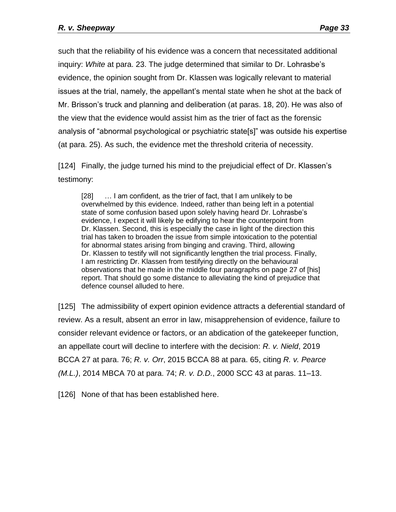such that the reliability of his evidence was a concern that necessitated additional inquiry: *White* at para. 23. The judge determined that similar to Dr. Lohrasbe's evidence, the opinion sought from Dr. Klassen was logically relevant to material issues at the trial, namely, the appellant's mental state when he shot at the back of Mr. Brisson's truck and planning and deliberation (at paras. 18, 20). He was also of the view that the evidence would assist him as the trier of fact as the forensic analysis of "abnormal psychological or psychiatric state[s]" was outside his expertise (at para. 25). As such, the evidence met the threshold criteria of necessity.

[124] Finally, the judge turned his mind to the prejudicial effect of Dr. Klassen's testimony:

[28] ... I am confident, as the trier of fact, that I am unlikely to be overwhelmed by this evidence. Indeed, rather than being left in a potential state of some confusion based upon solely having heard Dr. Lohrasbe's evidence, I expect it will likely be edifying to hear the counterpoint from Dr. Klassen. Second, this is especially the case in light of the direction this trial has taken to broaden the issue from simple intoxication to the potential for abnormal states arising from binging and craving. Third, allowing Dr. Klassen to testify will not significantly lengthen the trial process. Finally, I am restricting Dr. Klassen from testifying directly on the behavioural observations that he made in the middle four paragraphs on page 27 of [his] report. That should go some distance to alleviating the kind of prejudice that defence counsel alluded to here.

[125] The admissibility of expert opinion evidence attracts a deferential standard of review. As a result, absent an error in law, misapprehension of evidence, failure to consider relevant evidence or factors, or an abdication of the gatekeeper function, an appellate court will decline to interfere with the decision: *R. v. Nield*, 2019 BCCA 27 at para. 76; *R. v. Orr*, 2015 BCCA 88 at para. 65, citing *R. v. Pearce (M.L.)*, 2014 MBCA 70 at para. 74; *R. v. D.D.*, 2000 SCC 43 at paras. 11–13.

[126] None of that has been established here.